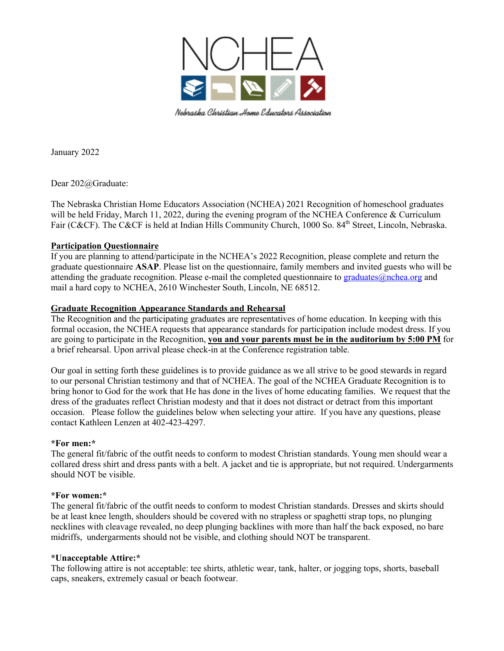

Nebraska Christian Home Educators Association

January 2022

Dear 202@Graduate:

The Nebraska Christian Home Educators Association (NCHEA) 2021 Recognition of homeschool graduates will be held Friday, March 11, 2022, during the evening program of the NCHEA Conference & Curriculum Fair (C&CF). The C&CF is held at Indian Hills Community Church, 1000 So. 84<sup>th</sup> Street, Lincoln, Nebraska.

### **Participation Questionnaire**

If you are planning to attend/participate in the NCHEA's 2022 Recognition, please complete and return the graduate questionnaire **ASAP**. Please list on the questionnaire, family members and invited guests who will be attending the graduate recognition. Please e-mail the completed questionnaire to graduates $@nchea.org$  and mail a hard copy to NCHEA, 2610 Winchester South, Lincoln, NE 68512.

### **Graduate Recognition Appearance Standards and Rehearsal**

The Recognition and the participating graduates are representatives of home education. In keeping with this formal occasion, the NCHEA requests that appearance standards for participation include modest dress. If you are going to participate in the Recognition, **you and your parents must be in the auditorium by 5:00 PM** for a brief rehearsal. Upon arrival please check-in at the Conference registration table.

Our goal in setting forth these guidelines is to provide guidance as we all strive to be good stewards in regard to our personal Christian testimony and that of NCHEA. The goal of the NCHEA Graduate Recognition is to bring honor to God for the work that He has done in the lives of home educating families. We request that the dress of the graduates reflect Christian modesty and that it does not distract or detract from this important occasion. Please follow the guidelines below when selecting your attire. If you have any questions, please contact Kathleen Lenzen at 402-423-4297.

#### **\*For men:\***

The general fit/fabric of the outfit needs to conform to modest Christian standards. Young men should wear a collared dress shirt and dress pants with a belt. A jacket and tie is appropriate, but not required. Undergarments should NOT be visible.

#### **\*For women:\***

The general fit/fabric of the outfit needs to conform to modest Christian standards. Dresses and skirts should be at least knee length, shoulders should be covered with no strapless or spaghetti strap tops, no plunging necklines with cleavage revealed, no deep plunging backlines with more than half the back exposed, no bare midriffs, undergarments should not be visible, and clothing should NOT be transparent.

#### **\*Unacceptable Attire:\***

The following attire is not acceptable: tee shirts, athletic wear, tank, halter, or jogging tops, shorts, baseball caps, sneakers, extremely casual or beach footwear.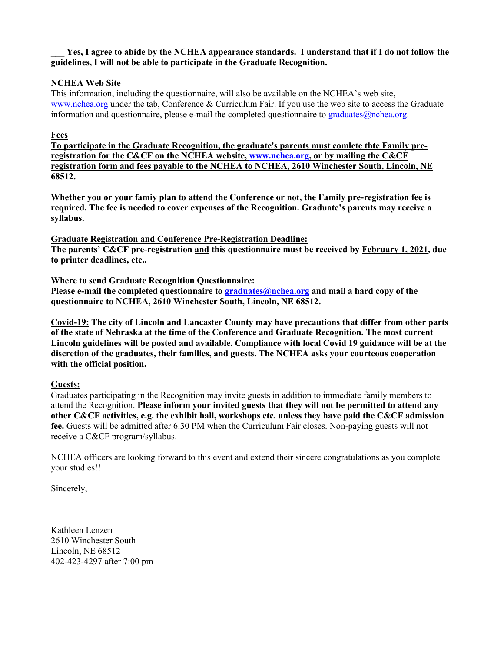## Yes, I agree to abide by the NCHEA appearance standards. I understand that if I do not follow the **guidelines, I will not be able to participate in the Graduate Recognition.**

# **NCHEA Web Site**

This information, including the questionnaire, will also be available on the NCHEA's web site, www.nchea.org under the tab, Conference & Curriculum Fair. If you use the web site to access the Graduate information and questionnaire, please e-mail the completed questionnaire to graduates $@nchea.org$ .

## **Fees**

**To participate in the Graduate Recognition, the graduate's parents must comlete thte Family preregistration for the C&CF on the NCHEA website, www.nchea.org, or by mailing the C&CF registration form and fees payable to the NCHEA to NCHEA, 2610 Winchester South, Lincoln, NE 68512.**

**Whether you or your famiy plan to attend the Conference or not, the Family pre-registration fee is required. The fee is needed to cover expenses of the Recognition. Graduate's parents may receive a syllabus.** 

### **Graduate Registration and Conference Pre-Registration Deadline:**

**The parents' C&CF pre-registration and this questionnaire must be received by February 1, 2021, due to printer deadlines, etc..**

## **Where to send Graduate Recognition Questionnaire:**

**Please e-mail the completed questionnaire to graduates@nchea.org and mail a hard copy of the questionnaire to NCHEA, 2610 Winchester South, Lincoln, NE 68512.**

**Covid-19: The city of Lincoln and Lancaster County may have precautions that differ from other parts of the state of Nebraska at the time of the Conference and Graduate Recognition. The most current Lincoln guidelines will be posted and available. Compliance with local Covid 19 guidance will be at the discretion of the graduates, their families, and guests. The NCHEA asks your courteous cooperation with the official position.** 

### **Guests:**

Graduates participating in the Recognition may invite guests in addition to immediate family members to attend the Recognition. **Please inform your invited guests that they will not be permitted to attend any other C&CF activities, e.g. the exhibit hall, workshops etc. unless they have paid the C&CF admission fee.** Guests will be admitted after 6:30 PM when the Curriculum Fair closes. Non-paying guests will not receive a C&CF program/syllabus.

NCHEA officers are looking forward to this event and extend their sincere congratulations as you complete your studies!!

Sincerely,

Kathleen Lenzen 2610 Winchester South Lincoln, NE 68512 402-423-4297 after 7:00 pm